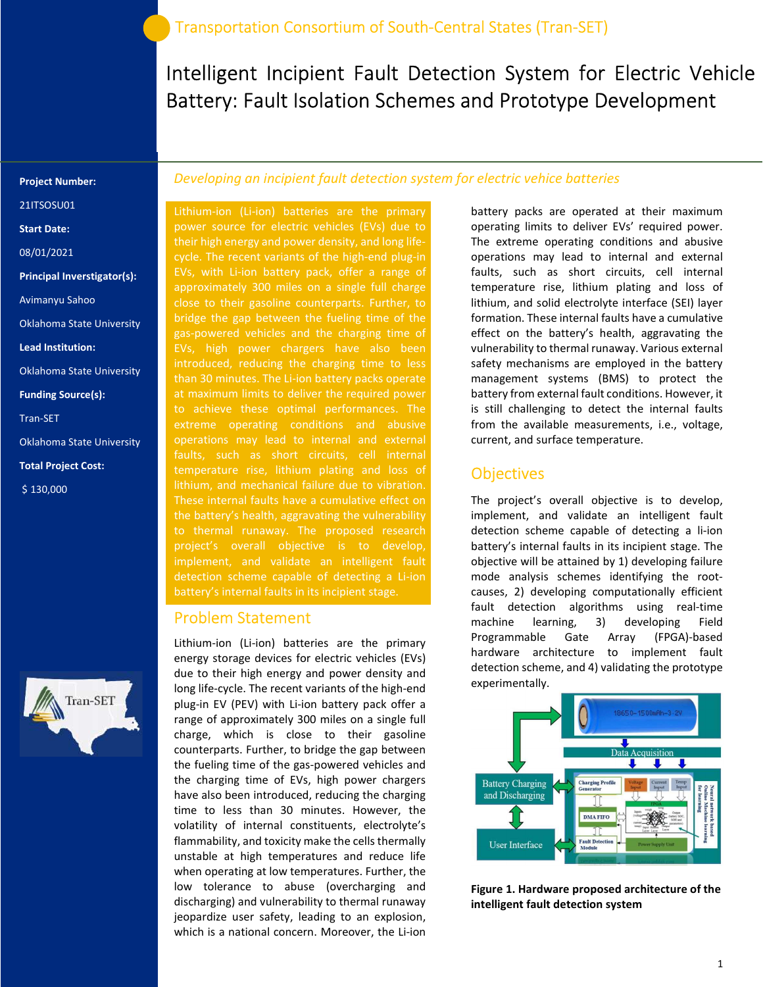Intelligent Incipient Fault Detection System for Electric Vehicle Battery: Fault Isolation Schemes and Prototype Development

#### Project Number:

21ITSOSU01

Start Date:

08/01/2021

Principal Inverstigator(s):

Avimanyu Sahoo

Oklahoma State University

Lead Institution:

Oklahoma State University

Funding Source(s):

Tran-SET

Oklahoma State University

Total Project Cost:

\$ 130,000



### Developing an incipient fault detection system for electric vehice batteries

Lithium-ion (Li-ion) batteries are the primary power source for electric vehicles (EVs) due to their high energy and power density, and long lifecycle. The recent variants of the high-end plug-in EVs, with Li-ion battery pack, offer a range of approximately 300 miles on a single full charge close to their gasoline counterparts. Further, to bridge the gap between the fueling time of the gas-powered vehicles and the charging time of EVs, high power chargers have also been introduced, reducing the charging time to less than 30 minutes. The Li-ion battery packs operate at maximum limits to deliver the required power extreme operating conditions and abusive operations may lead to internal and external faults, such as short circuits, cell internal temperature rise, lithium plating and loss of These internal faults have a cumulative effect on the battery's health, aggravating the vulnerability project's overall objective is to develop, implement, and validate an intelligent fault detection scheme capable of detecting a Li-ion battery's internal faults in its incipient stage.

#### Problem Statement

Lithium-ion (Li-ion) batteries are the primary energy storage devices for electric vehicles (EVs) due to their high energy and power density and long life-cycle. The recent variants of the high-end plug-in EV (PEV) with Li-ion battery pack offer a range of approximately 300 miles on a single full charge, which is close to their gasoline counterparts. Further, to bridge the gap between the fueling time of the gas-powered vehicles and the charging time of EVs, high power chargers have also been introduced, reducing the charging time to less than 30 minutes. However, the volatility of internal constituents, electrolyte's flammability, and toxicity make the cells thermally unstable at high temperatures and reduce life when operating at low temperatures. Further, the low tolerance to abuse (overcharging and discharging) and vulnerability to thermal runaway jeopardize user safety, leading to an explosion, which is a national concern. Moreover, the Li-ion

battery packs are operated at their maximum operating limits to deliver EVs' required power. The extreme operating conditions and abusive operations may lead to internal and external faults, such as short circuits, cell internal temperature rise, lithium plating and loss of lithium, and solid electrolyte interface (SEI) layer formation. These internal faults have a cumulative effect on the battery's health, aggravating the vulnerability to thermal runaway. Various external safety mechanisms are employed in the battery management systems (BMS) to protect the battery from external fault conditions. However, it is still challenging to detect the internal faults from the available measurements, i.e., voltage, current, and surface temperature.

### **Objectives**

The project's overall objective is to develop, implement, and validate an intelligent fault detection scheme capable of detecting a li-ion battery's internal faults in its incipient stage. The objective will be attained by 1) developing failure mode analysis schemes identifying the rootcauses, 2) developing computationally efficient fault detection algorithms using real-time machine learning, 3) developing Field Programmable Gate Array (FPGA)-based hardware architecture to implement fault detection scheme, and 4) validating the prototype experimentally.



Figure 1. Hardware proposed architecture of the intelligent fault detection system